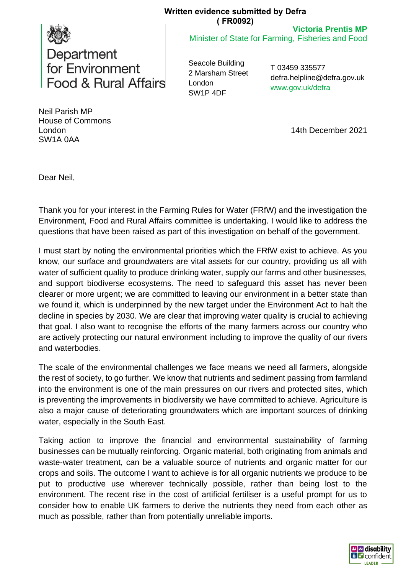## **Written evidence submitted by Defra ( FR0092)**

**Victoria Prentis MP**

Minister of State for Farming, Fisheries and Food



Seacole Building 2 Marsham Street London SW1P 4DF

T 03459 335577 defra.helpline@defra.gov.uk www.gov.uk/defra

Neil Parish MP House of Commons London SW1A 0AA

14th December 2021

Dear Neil,

Thank you for your interest in the Farming Rules for Water (FRfW) and the investigation the Environment, Food and Rural Affairs committee is undertaking. I would like to address the questions that have been raised as part of this investigation on behalf of the government.

I must start by noting the environmental priorities which the FRfW exist to achieve. As you know, our surface and groundwaters are vital assets for our country, providing us all with water of sufficient quality to produce drinking water, supply our farms and other businesses, and support biodiverse ecosystems. The need to safeguard this asset has never been clearer or more urgent; we are committed to leaving our environment in a better state than we found it, which is underpinned by the new target under the Environment Act to halt the decline in species by 2030. We are clear that improving water quality is crucial to achieving that goal. I also want to recognise the efforts of the many farmers across our country who are actively protecting our natural environment including to improve the quality of our rivers and waterbodies.

The scale of the environmental challenges we face means we need all farmers, alongside the rest of society, to go further. We know that nutrients and sediment passing from farmland into the environment is one of the main pressures on our rivers and protected sites, which is preventing the improvements in biodiversity we have committed to achieve. Agriculture is also a major cause of deteriorating groundwaters which are important sources of drinking water, especially in the South East.

Taking action to improve the financial and environmental sustainability of farming businesses can be mutually reinforcing. Organic material, both originating from animals and waste-water treatment, can be a valuable source of nutrients and organic matter for our crops and soils. The outcome I want to achieve is for all organic nutrients we produce to be put to productive use wherever technically possible, rather than being lost to the environment. The recent rise in the cost of artificial fertiliser is a useful prompt for us to consider how to enable UK farmers to derive the nutrients they need from each other as much as possible, rather than from potentially unreliable imports.

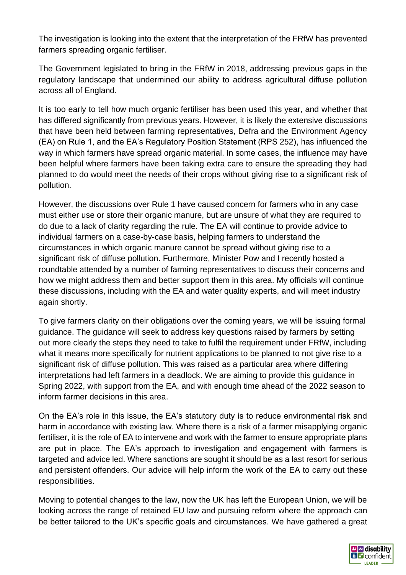The investigation is looking into the extent that the interpretation of the FRfW has prevented farmers spreading organic fertiliser.

The Government legislated to bring in the FRfW in 2018, addressing previous gaps in the regulatory landscape that undermined our ability to address agricultural diffuse pollution across all of England.

It is too early to tell how much organic fertiliser has been used this year, and whether that has differed significantly from previous years. However, it is likely the extensive discussions that have been held between farming representatives, Defra and the Environment Agency (EA) on Rule 1, and the EA's Regulatory Position Statement (RPS 252), has influenced the way in which farmers have spread organic material. In some cases, the influence may have been helpful where farmers have been taking extra care to ensure the spreading they had planned to do would meet the needs of their crops without giving rise to a significant risk of pollution.

However, the discussions over Rule 1 have caused concern for farmers who in any case must either use or store their organic manure, but are unsure of what they are required to do due to a lack of clarity regarding the rule. The EA will continue to provide advice to individual farmers on a case-by-case basis, helping farmers to understand the circumstances in which organic manure cannot be spread without giving rise to a significant risk of diffuse pollution. Furthermore, Minister Pow and I recently hosted a roundtable attended by a number of farming representatives to discuss their concerns and how we might address them and better support them in this area. My officials will continue these discussions, including with the EA and water quality experts, and will meet industry again shortly.

To give farmers clarity on their obligations over the coming years, we will be issuing formal guidance. The guidance will seek to address key questions raised by farmers by setting out more clearly the steps they need to take to fulfil the requirement under FRfW, including what it means more specifically for nutrient applications to be planned to not give rise to a significant risk of diffuse pollution. This was raised as a particular area where differing interpretations had left farmers in a deadlock. We are aiming to provide this guidance in Spring 2022, with support from the EA, and with enough time ahead of the 2022 season to inform farmer decisions in this area.

On the EA's role in this issue, the EA's statutory duty is to reduce environmental risk and harm in accordance with existing law. Where there is a risk of a farmer misapplying organic fertiliser, it is the role of EA to intervene and work with the farmer to ensure appropriate plans are put in place. The EA's approach to investigation and engagement with farmers is targeted and advice led. Where sanctions are sought it should be as a last resort for serious and persistent offenders. Our advice will help inform the work of the EA to carry out these responsibilities.

Moving to potential changes to the law, now the UK has left the European Union, we will be looking across the range of retained EU law and pursuing reform where the approach can be better tailored to the UK's specific goals and circumstances. We have gathered a great